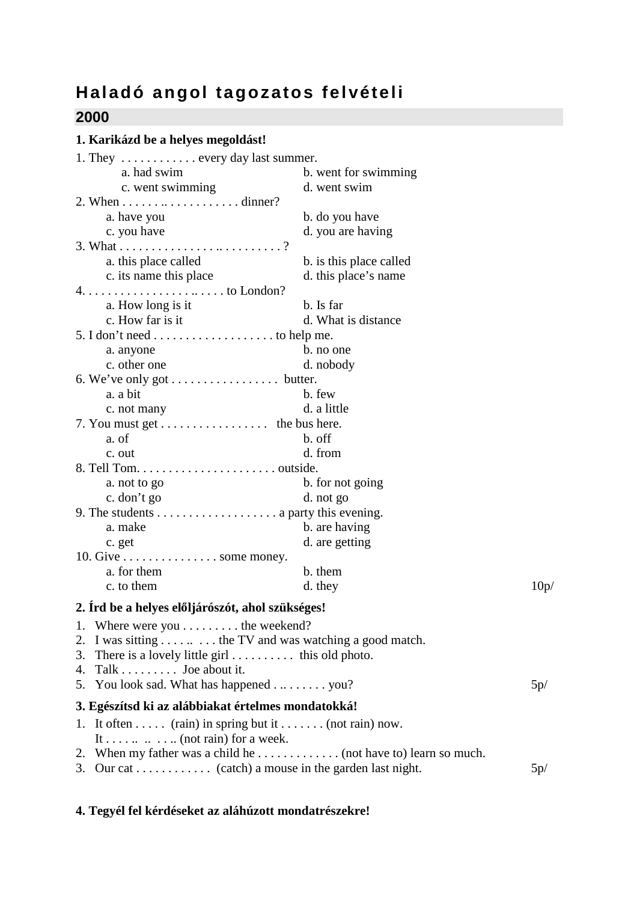## **Haladó angol tagozatos felvételi**

## **2000**

## **1. Karikázd be a helyes megoldást!**

| 1. They $\dots \dots \dots \dots$ every day last summer.                |                         |      |
|-------------------------------------------------------------------------|-------------------------|------|
| a. had swim                                                             | b. went for swimming    |      |
| c. went swimming                                                        | d. went swim            |      |
| 2. When $\dots \dots \dots \dots \dots \dots \dots$ dinner?             |                         |      |
| a. have you                                                             | b. do you have          |      |
| c. you have                                                             | d. you are having       |      |
|                                                                         |                         |      |
| a. this place called                                                    | b. is this place called |      |
| c. its name this place                                                  | d. this place's name    |      |
| $4. \ldots \ldots \ldots \ldots \ldots \ldots \ldots \ldots$ to London? |                         |      |
| a. How long is it                                                       | b. Is far               |      |
| c. How far is it                                                        | d. What is distance     |      |
|                                                                         |                         |      |
| a. anyone                                                               | b. no one               |      |
| c. other one                                                            | d. nobody               |      |
| 6. We've only got butter.                                               |                         |      |
| a. a bit                                                                | b. few                  |      |
| c. not many                                                             | d. a little             |      |
| 7. You must get the bus here.                                           |                         |      |
| a. of                                                                   | b. off                  |      |
| c. out                                                                  | d. from                 |      |
|                                                                         |                         |      |
| a. not to go                                                            | b. for not going        |      |
| c. don't go                                                             | d. not go               |      |
|                                                                         |                         |      |
| a. make                                                                 | b. are having           |      |
| c. get                                                                  | d. are getting          |      |
| 10. Give $\dots \dots \dots \dots \dots$ some money.                    |                         |      |
| a. for them                                                             | b. them                 |      |
| c. to them                                                              | d. they                 | 10p/ |
| 2. Ird be a helyes előljárószót, ahol szükséges!                        |                         |      |
| 1. Where were you $\dots \dots$ the weekend?                            |                         |      |
| 2. I was sitting  the TV and was watching a good match.                 |                         |      |
| 3. There is a lovely little girl this old photo.                        |                         |      |
| 4. Talk $\dots \dots$ Joe about it.                                     |                         |      |
| 5. You look sad. What has happened you?                                 |                         | 5p/  |
|                                                                         |                         |      |
| 3. Egészítsd ki az alábbiakat értelmes mondatokká!                      |                         |      |
| 1. It often  (rain) in spring but it  (not rain) now.                   |                         |      |
| It (not rain) for a week.                                               |                         |      |
| 2. When my father was a child he (not have to) learn so much.           |                         |      |
| 3. Our cat (catch) a mouse in the garden last night.                    |                         | 5p/  |

## **4. Tegyél fel kérdéseket az aláhúzott mondatrészekre!**